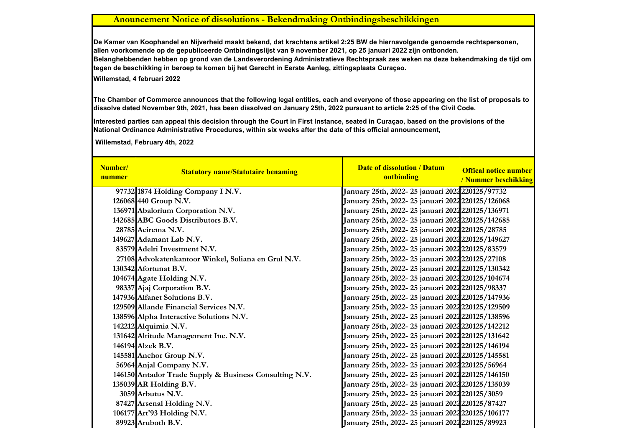## **Anouncement Notice of dissolutions - Bekendmaking Ontbindingsbeschikkingen**

**Willemstad, 4 februari 2022 De Kamer van Koophandel en Nijverheid maakt bekend, dat krachtens artikel 2:25 BW de hiernavolgende genoemde rechtspersonen, allen voorkomende op de gepubliceerde Ontbindingslijst van 9 november 2021, op 25 januari 2022 zijn ontbonden. Belanghebbenden hebben op grond van de Landsverordening Administratieve Rechtspraak zes weken na deze bekendmaking de tijd om tegen de beschikking in beroep te komen bij het Gerecht in Eerste Aanleg, zittingsplaats Curaçao.**

**The Chamber of Commerce announces that the following legal entities, each and everyone of those appearing on the list of proposals to dissolve dated November 9th, 2021, has been dissolved on January 25th, 2022 pursuant to article 2:25 of the Civil Code.**

**Interested parties can appeal this decision through the Court in First Instance, seated in Curaçao, based on the provisions of the National Ordinance Administrative Procedures, within six weeks after the date of this official announcement,** 

 **Willemstad, February 4th, 2022**

| Number/<br>nummer | <b>Statutory name/Statutaire benaming</b>              | <b>Date of dissolution / Datum</b><br>ontbinding               | <b>Offical notice number</b><br>/ Nummer beschikking |
|-------------------|--------------------------------------------------------|----------------------------------------------------------------|------------------------------------------------------|
|                   | 97732 1874 Holding Company I N.V.                      | January 25th, 2022- 25 januari 2022 220125/97732               |                                                      |
|                   | 126068 440 Group N.V.                                  | January 25th, 2022- 25 januari 2022 220125/126068              |                                                      |
|                   | 136971 Abalorium Corporation N.V.                      | January 25th, 2022- 25 januari 2022 220125/136971              |                                                      |
|                   | 142685 ABC Goods Distributors B.V.                     | January 25th, 2022- 25 januari 2022 220125/142685              |                                                      |
|                   | 28785 Acirema N.V.                                     | January 25th, 2022- 25 januari 2022 220125/28785               |                                                      |
|                   | 149627 Adamant Lab N.V.                                | January 25th, 2022- 25 januari 2022 <mark>220125/149627</mark> |                                                      |
|                   | 83579 Adelri Investment N.V.                           | January 25th, 2022- 25 januari 2022 220125/83579               |                                                      |
|                   | 27108 Advokatenkantoor Winkel, Soliana en Grul N.V.    | January 25th, 2022- 25 januari 2022 220125/27108               |                                                      |
|                   | 130342 Afortunat B.V.                                  | January 25th, 2022- 25 januari 2022 220125/130342              |                                                      |
|                   | 104674 Agate Holding N.V.                              | January 25th, 2022- 25 januari 2022 220125/104674              |                                                      |
|                   | 98337 Ajaj Corporation B.V.                            | January 25th, 2022- 25 januari 2022 220125/98337               |                                                      |
|                   | 147936 Alfanet Solutions B.V.                          | January 25th, 2022- 25 januari 2022 <b>2</b> 20125/147936      |                                                      |
|                   | 129509 Allande Financial Services N.V.                 | January 25th, 2022- 25 januari 2022 220125/129509              |                                                      |
|                   | 138596 Alpha Interactive Solutions N.V.                | January 25th, 2022- 25 januari 2022 <mark>220125/138596</mark> |                                                      |
|                   | 142212 Alquimia N.V.                                   | January 25th, 2022- 25 januari 2022 220125/142212              |                                                      |
|                   | 131642 Altitude Management Inc. N.V.                   | January 25th, 2022- 25 januari 2022 220125/131642              |                                                      |
|                   | 146194 Alzek B.V.                                      | January 25th, 2022-25 januari 2022 220125/146194               |                                                      |
|                   | 145581 Anchor Group N.V.                               | January 25th, 2022- 25 januari 2022 220125/145581              |                                                      |
|                   | 56964 Anjal Company N.V.                               | January 25th, 2022- 25 januari 2022 220125/56964               |                                                      |
|                   | 146150 Antador Trade Supply & Business Consulting N.V. | January 25th, 2022- 25 januari 2022 220125/146150              |                                                      |
|                   | 135039 AR Holding B.V.                                 | January 25th, 2022- 25 januari 2022 220125/135039              |                                                      |
|                   | 3059 Arbutus N.V.                                      | January 25th, 2022- 25 januari 2022 220125/3059                |                                                      |
|                   | 87427 Arsenal Holding N.V.                             | January 25th, 2022- 25 januari 2022 220125/87427               |                                                      |
|                   | 106177 Art'93 Holding N.V.                             | January 25th, 2022-25 januari 2022 220125/106177               |                                                      |
|                   | 89923 Aruboth B.V.                                     | January 25th, 2022-25 januari 2022 220125/89923                |                                                      |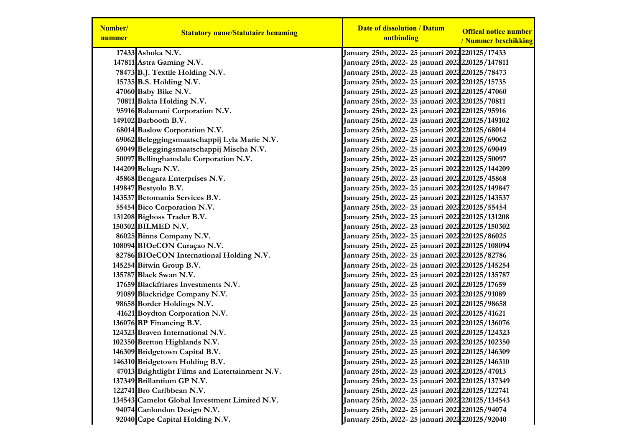| Number/<br>nummer | <b>Statutory name/Statutaire benaming</b>      | <b>Date of dissolution / Datum</b><br>ontbinding         | <b>Offical notice number</b><br>/ Nummer beschikking |
|-------------------|------------------------------------------------|----------------------------------------------------------|------------------------------------------------------|
|                   | 17433 Ashoka N.V.                              | January 25th, 2022- 25 januari 2022 220125/17433         |                                                      |
|                   | 147811 Astra Gaming N.V.                       | January 25th, 2022-25 januari 2022 220125/147811         |                                                      |
|                   | 78473 B.J. Textile Holding N.V.                | January 25th, 2022- 25 januari 2022 220125/78473         |                                                      |
|                   | $15735$ B.S. Holding N.V.                      | January 25th, 2022-25 januari 2022 220125/15735          |                                                      |
|                   | 47060 Baby Bike N.V.                           | January 25th, 2022- 25 januari 2022 220125/47060         |                                                      |
|                   | 70811 Bakta Holding N.V.                       | January 25th, 2022-25 januari 2022 220125/70811          |                                                      |
|                   | 95916 Balamani Corporation N.V.                | January 25th, 2022- 25 januari 2022 220125/95916         |                                                      |
|                   | 149102 Barbooth B.V.                           | January 25th, 2022-25 januari 2022 220125/149102         |                                                      |
|                   | 68014 Baslow Corporation N.V.                  | January 25th, 2022- 25 januari 2022 220125/68014         |                                                      |
|                   | 69062 Beleggingsmaatschappij Lyla Marie N.V.   | January 25th, 2022- 25 januari 2022 220125/69062         |                                                      |
|                   | 69049 Beleggingsmaatschappij Mischa N.V.       | January 25th, 2022- 25 januari 2022 220125/69049         |                                                      |
|                   | 50097 Bellinghamdale Corporation N.V.          | January 25th, 2022- 25 januari 2022 220125/50097         |                                                      |
|                   | 144209 Beluga N.V.                             | January 25th, 2022-25 januari 2022 220125/144209         |                                                      |
|                   | 45868 Bengara Enterprises N.V.                 | January 25th, 2022- 25 januari 2022 <b>2</b> 20125/45868 |                                                      |
|                   | 149847 Bestyolo B.V.                           | January 25th, 2022-25 januari 2022 220125/149847         |                                                      |
|                   | 143537 Betomania Services B.V.                 | January 25th, 2022-25 januari 2022 220125/143537         |                                                      |
|                   | 55454 Bico Corporation N.V.                    | January 25th, 2022- 25 januari 2022 220125/55454         |                                                      |
|                   | 131208 Bigboss Trader B.V.                     | January 25th, 2022-25 januari 2022 220125/131208         |                                                      |
|                   | 150302 BILMED N.V.                             | January 25th, 2022-25 januari 2022 220125/150302         |                                                      |
|                   | 86025 Binns Company N.V.                       | January 25th, 2022- 25 januari 2022 220125/86025         |                                                      |
|                   | 108094 BIOeCON Curaçao N.V.                    | January 25th, 2022- 25 januari 2022 220125/108094        |                                                      |
|                   | 82786 BIOeCON International Holding N.V.       | January 25th, 2022- 25 januari 2022 220125/82786         |                                                      |
|                   | 145254 Bitwin Group B.V.                       | January 25th, 2022-25 januari 2022 220125/145254         |                                                      |
|                   | 135787 Black Swan N.V.                         | January 25th, 2022-25 januari 2022 220125/135787         |                                                      |
|                   | 17659 Blackfriares Investments N.V.            | January 25th, 2022- 25 januari 2022 <b>2</b> 20125/17659 |                                                      |
|                   | 91089 Blackridge Company N.V.                  | January 25th, 2022- 25 januari 2022 <b>2</b> 20125/91089 |                                                      |
|                   | 98658 Border Holdings N.V.                     | January 25th, 2022- 25 januari 2022 <b>2</b> 20125/98658 |                                                      |
|                   | 41621 Boydton Corporation N.V.                 | January 25th, 2022- 25 januari 2022 220125/41621         |                                                      |
|                   | 136076 BP Financing B.V.                       | January 25th, 2022-25 januari 2022 220125/136076         |                                                      |
|                   | 124323 Braven International N.V.               | January 25th, 2022-25 januari 2022 220125/124323         |                                                      |
|                   | 102350 Bretton Highlands N.V.                  | January 25th, 2022- 25 januari 2022 220125/102350        |                                                      |
|                   | 146309 Bridgetown Capital B.V.                 | January 25th, 2022-25 januari 2022 220125/146309         |                                                      |
|                   | 146310 Bridgetown Holding B.V.                 | January 25th, 2022-25 januari 2022 220125/146310         |                                                      |
|                   | 47013 Brightlight Films and Entertainment N.V. | January 25th, 2022- 25 januari 2022 220125/47013         |                                                      |
|                   | 137349 Brillantium GP N.V.                     | January 25th, 2022-25 januari 2022 220125/137349         |                                                      |
|                   | 122741 Bro Caribbean N.V.                      | January 25th, 2022-25 januari 2022 220125/122741         |                                                      |
|                   | 134543 Camelot Global Investment Limited N.V.  | January 25th, 2022-25 januari 2022 220125/134543         |                                                      |
|                   | 94074 Canlondon Design N.V.                    | January 25th, 2022-25 januari 2022220125/94074           |                                                      |
|                   | 92040 Cape Capital Holding N.V.                | January 25th, 2022- 25 januari 2022 220125/92040         |                                                      |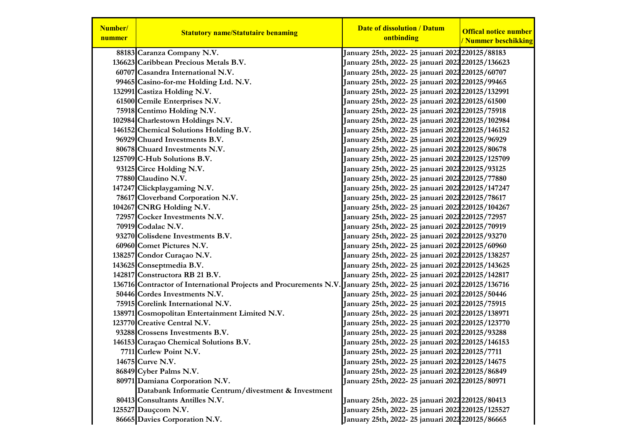| Number/<br>nummer | <b>Statutory name/Statutaire benaming</b>                                                                          | <b>Date of dissolution / Datum</b><br>ontbinding  | <b>Offical notice number</b><br>/ Nummer beschikking |
|-------------------|--------------------------------------------------------------------------------------------------------------------|---------------------------------------------------|------------------------------------------------------|
|                   | 88183 Caranza Company N.V.                                                                                         | January 25th, 2022-25 januari 2022220125/88183    |                                                      |
|                   | 136623 Caribbean Precious Metals B.V.                                                                              | January 25th, 2022-25 januari 2022 220125/136623  |                                                      |
|                   | 60707 Casandra International N.V.                                                                                  | January 25th, 2022- 25 januari 2022220125/60707   |                                                      |
|                   | 99465 Casino-for-me Holding Ltd. N.V.                                                                              | January 25th, 2022- 25 januari 2022 220125/99465  |                                                      |
|                   | 132991 Castiza Holding N.V.                                                                                        | January 25th, 2022-25 januari 2022 220125/132991  |                                                      |
|                   | 61500 Cemile Enterprises N.V.                                                                                      | January 25th, 2022-25 januari 2022 220125/61500   |                                                      |
|                   | 75918 Centimo Holding N.V.                                                                                         | January 25th, 2022- 25 januari 2022 220125/75918  |                                                      |
|                   | 102984 Charlestown Holdings N.V.                                                                                   | January 25th, 2022- 25 januari 2022 220125/102984 |                                                      |
|                   | 146152 Chemical Solutions Holding B.V.                                                                             | January 25th, 2022- 25 januari 2022 220125/146152 |                                                      |
|                   | 96929 Chuard Investments B.V.                                                                                      | January 25th, 2022- 25 januari 2022 220125/96929  |                                                      |
|                   | 80678 Chuard Investments N.V.                                                                                      | January 25th, 2022-25 januari 2022 220125/80678   |                                                      |
|                   | 125709 C-Hub Solutions B.V.                                                                                        | January 25th, 2022-25 januari 2022 220125/125709  |                                                      |
|                   | 93125 Circe Holding N.V.                                                                                           | January 25th, 2022-25 januari 2022 220125/93125   |                                                      |
|                   | 77880 Claudino N.V.                                                                                                | January 25th, 2022-25 januari 2022 220125/77880   |                                                      |
|                   | 147247 Clickplaygaming N.V.                                                                                        | January 25th, 2022- 25 januari 2022 220125/147247 |                                                      |
|                   | 78617 Cloverband Corporation N.V.                                                                                  | January 25th, 2022-25 januari 2022 220125/78617   |                                                      |
|                   | 104267 CNRG Holding N.V.                                                                                           | January 25th, 2022- 25 januari 2022 220125/104267 |                                                      |
|                   | 72957 Cocker Investments N.V.                                                                                      | January 25th, 2022- 25 januari 2022 220125/72957  |                                                      |
|                   | 70919 Codalac N.V.                                                                                                 | January 25th, 2022- 25 januari 2022 220125/70919  |                                                      |
|                   | 93270 Colisdene Investments B.V.                                                                                   | January 25th, 2022- 25 januari 2022 220125/93270  |                                                      |
|                   | 60960 Comet Pictures N.V.                                                                                          | January 25th, 2022- 25 januari 2022 220125/60960  |                                                      |
|                   | 138257 Condor Curaçao N.V.                                                                                         | January 25th, 2022-25 januari 2022 220125/138257  |                                                      |
|                   | 143625 Conseptmedia B.V.                                                                                           | January 25th, 2022- 25 januari 2022 220125/143625 |                                                      |
|                   | 142817 Constructora RB 21 B.V.                                                                                     | January 25th, 2022- 25 januari 2022 220125/142817 |                                                      |
|                   | 136716 Contractor of International Projects and Procurements N.V. January 25th, 2022-25 januari 2022 220125/136716 |                                                   |                                                      |
|                   | 50446 Cordes Investments N.V.                                                                                      | January 25th, 2022- 25 januari 2022 220125/50446  |                                                      |
|                   | 75915 Corelink International N.V.                                                                                  | January 25th, 2022- 25 januari 2022 220125/75915  |                                                      |
|                   | 138971 Cosmopolitan Entertainment Limited N.V.                                                                     | January 25th, 2022- 25 januari 2022 220125/138971 |                                                      |
|                   | 123770 Creative Central N.V.                                                                                       | January 25th, 2022- 25 januari 2022 220125/123770 |                                                      |
|                   | 93288 Crossens Investments B.V.                                                                                    | January 25th, 2022- 25 januari 2022 220125/93288  |                                                      |
|                   | 146153 Curaçao Chemical Solutions B.V.                                                                             | January 25th, 2022-25 januari 2022 220125/146153  |                                                      |
|                   | 7711 Curlew Point N.V.                                                                                             | January 25th, 2022-25 januari 2022 220125/7711    |                                                      |
|                   | 14675 Curve N.V.                                                                                                   | January 25th, 2022- 25 januari 2022 220125/14675  |                                                      |
|                   | 86849 Cyber Palms N.V.                                                                                             | January 25th, 2022- 25 januari 2022 220125/86849  |                                                      |
|                   | 80971 Damiana Corporation N.V.                                                                                     | January 25th, 2022-25 januari 2022 220125/80971   |                                                      |
|                   | Databank Informatie Centrum/divestment & Investment                                                                |                                                   |                                                      |
|                   | 80413 Consultants Antilles N.V.                                                                                    | January 25th, 2022-25 januari 2022 220125/80413   |                                                      |
|                   | 125527 Dauccom N.V.                                                                                                | January 25th, 2022-25 januari 2022 220125/125527  |                                                      |
|                   | 86665 Davies Corporation N.V.                                                                                      | January 25th, 2022-25 januari 2022 220125/86665   |                                                      |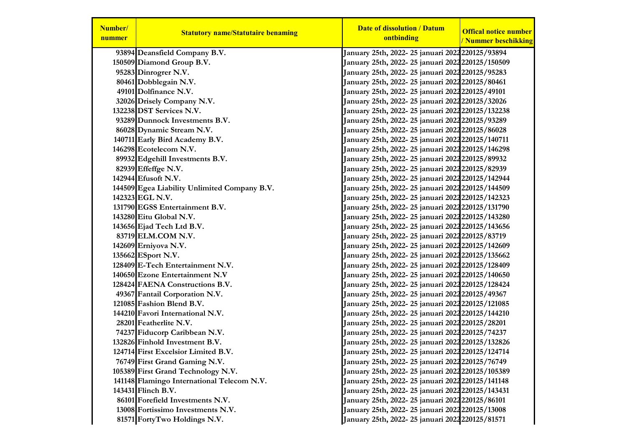| Number/<br>nummer | <b>Statutory name/Statutaire benaming</b>    | <b>Date of dissolution / Datum</b><br>ontbinding               | <b>Offical notice number</b> |
|-------------------|----------------------------------------------|----------------------------------------------------------------|------------------------------|
|                   |                                              |                                                                | / Nummer beschikking         |
|                   | 93894 Deansfield Company B.V.                | January 25th, 2022- 25 januari 2022220125/93894                |                              |
|                   | 150509 Diamond Group B.V.                    | January 25th, 2022- 25 januari 2022 220125/150509              |                              |
|                   | 95283 Dinrogrer N.V.                         | January 25th, 2022- 25 januari 2022 220125/95283               |                              |
|                   | 80461 Dobblegain N.V.                        | January 25th, 2022- 25 januari 2022 220125/80461               |                              |
|                   | 49101 Dolfinance N.V.                        | January 25th, 2022- 25 januari 2022 220125/49101               |                              |
|                   | 32026 Drisely Company N.V.                   | January 25th, 2022- 25 januari 2022 220125/32026               |                              |
|                   | 132238 DST Services N.V.                     | January 25th, 2022- 25 januari 2022 220125/132238              |                              |
|                   | 93289 Dunnock Investments B.V.               | January 25th, 2022- 25 januari 2022 220125/93289               |                              |
|                   | 86028 Dynamic Stream N.V.                    | January 25th, 2022- 25 januari 2022 220125/86028               |                              |
|                   | 140711 Early Bird Academy B.V.               | January 25th, 2022- 25 januari 2022 220125/140711              |                              |
|                   | 146298 Ecotelecom N.V.                       | January 25th, 2022- 25 januari 2022 220125/146298              |                              |
|                   | 89932 Edgehill Investments B.V.              | January 25th, 2022- 25 januari 2022 <b>2</b> 20125/89932       |                              |
|                   | 82939 Effeffge N.V.                          | January 25th, 2022- 25 januari 2022 <b>2</b> 20125/82939       |                              |
|                   | 142944 Efusoft N.V.                          | January 25th, 2022- 25 januari 2022 220125/142944              |                              |
|                   | 144509 Egea Liability Unlimited Company B.V. | January 25th, 2022- 25 januari 2022 220125/144509              |                              |
|                   | 142323 EGL N.V.                              | January 25th, 2022- 25 januari 2022 220125/142323              |                              |
|                   | 131790 EGSS Entertainment B.V.               | January 25th, 2022-25 januari 2022 220125/131790               |                              |
|                   | 143280 Eitu Global N.V.                      | January 25th, 2022- 25 januari 2022 220125/143280              |                              |
|                   | 143656 Ejad Tech Ltd B.V.                    | January 25th, 2022- 25 januari 2022 220125/143656              |                              |
|                   | 83719 ELM.COM N.V.                           | January 25th, 2022- 25 januari 2022 <b>2</b> 20125/83719       |                              |
|                   | 142609 Erniyova N.V.                         | January 25th, 2022-25 januari 2022 220125/142609               |                              |
|                   | 135662 ESport N.V.                           | January 25th, 2022- 25 januari 2022 220125/135662              |                              |
|                   | 128409 E-Tech Entertainment N.V.             | January 25th, 2022- 25 januari 2022 220125/128409              |                              |
|                   | 140650 Ezone Entertainment N.V               | January 25th, 2022- 25 januari 2022 220125/140650              |                              |
|                   | 128424 FAENA Constructions B.V.              | January 25th, 2022-25 januari 2022 220125/128424               |                              |
|                   | 49367 Fantail Corporation N.V.               | January 25th, 2022-25 januari 2022220125/49367                 |                              |
|                   | 121085 Fashion Blend B.V.                    | January 25th, 2022- 25 januari 2022 220125/121085              |                              |
|                   | 144210 Favori International N.V.             | January 25th, 2022- 25 januari 2022 220125/144210              |                              |
|                   | 28201 Featherlite N.V.                       | January 25th, 2022- 25 januari 2022 <mark>220125/28201</mark>  |                              |
|                   | 74237 Fiducorp Caribbean N.V.                | January 25th, 2022- 25 januari 2022220125/74237                |                              |
|                   | 132826 Finhold Investment B.V.               | January 25th, 2022- 25 januari 2022 220125/132826              |                              |
|                   | 124714 First Excelsior Limited B.V.          | January 25th, 2022- 25 januari 2022 <mark>220125/124714</mark> |                              |
|                   | 76749 First Grand Gaming N.V.                | January 25th, 2022-25 januari 2022 220125/76749                |                              |
|                   | 105389 First Grand Technology N.V.           | January 25th, 2022-25 januari 2022 220125/105389               |                              |
|                   | 141148 Flamingo International Telecom N.V.   | January 25th, 2022- 25 januari 2022 220125/141148              |                              |
|                   | 143431 Flinch B.V.                           | January 25th, 2022- 25 januari 2022 220125/143431              |                              |
|                   | 86101 Forefield Investments N.V.             | January 25th, 2022- 25 januari 2022 220125/86101               |                              |
|                   | 13008 Fortissimo Investments N.V.            | January 25th, 2022-25 januari 2022 220125/13008                |                              |
|                   | 81571 FortyTwo Holdings N.V.                 | January 25th, 2022-25 januari 2022 220125/81571                |                              |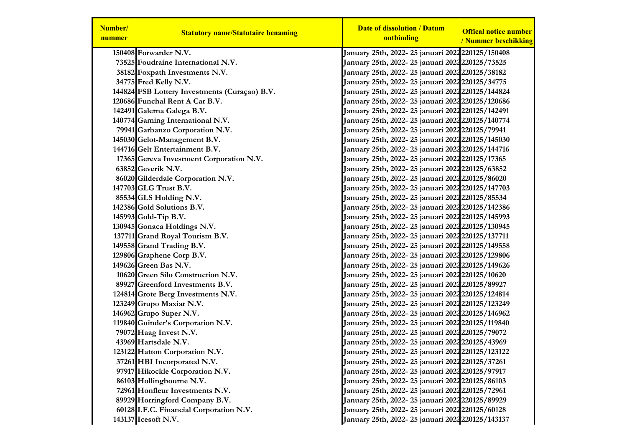| Number/<br>nummer | <b>Statutory name/Statutaire benaming</b>     | <b>Date of dissolution / Datum</b><br>ontbinding | <b>Offical notice number</b><br>/ Nummer beschikking |
|-------------------|-----------------------------------------------|--------------------------------------------------|------------------------------------------------------|
|                   | 150408 Forwarder N.V.                         | January 25th, 2022-25 januari 2022 220125/150408 |                                                      |
|                   | 73525 Foudraine International N.V.            | January 25th, 2022- 25 januari 2022 220125/73525 |                                                      |
|                   | 38182 Foxpath Investments N.V.                | January 25th, 2022- 25 januari 2022 220125/38182 |                                                      |
|                   | 34775 Fred Kelly N.V.                         | January 25th, 2022-25 januari 2022 220125/34775  |                                                      |
|                   | 144824 FSB Lottery Investments (Curaçao) B.V. | January 25th, 2022-25 januari 2022 220125/144824 |                                                      |
|                   | 120686 Funchal Rent A Car B.V.                | January 25th, 2022-25 januari 2022 220125/120686 |                                                      |
|                   | 142491 Galerna Galega B.V.                    | January 25th, 2022-25 januari 2022 220125/142491 |                                                      |
|                   | 140774 Gaming International N.V.              | January 25th, 2022-25 januari 2022 220125/140774 |                                                      |
|                   | 79941 Garbanzo Corporation N.V.               | January 25th, 2022-25 januari 2022 220125/79941  |                                                      |
|                   | 145030 Gelot-Management B.V.                  | January 25th, 2022-25 januari 2022 220125/145030 |                                                      |
|                   | 144716 Gelt Entertainment B.V.                | January 25th, 2022-25 januari 2022 220125/144716 |                                                      |
|                   | 17365 Gereva Investment Corporation N.V.      | January 25th, 2022-25 januari 2022 220125/17365  |                                                      |
|                   | 63852 Geverik N.V.                            | January 25th, 2022-25 januari 2022 220125/63852  |                                                      |
|                   | 86020 Gilderdale Corporation N.V.             | January 25th, 2022- 25 januari 2022 220125/86020 |                                                      |
|                   | 147703 GLG Trust B.V.                         | January 25th, 2022-25 januari 2022 220125/147703 |                                                      |
|                   | 85534 GLS Holding N.V.                        | January 25th, 2022-25 januari 2022 220125/85534  |                                                      |
|                   | 142386 Gold Solutions B.V.                    | January 25th, 2022-25 januari 2022 220125/142386 |                                                      |
|                   | 145993 Gold-Tip B.V.                          | January 25th, 2022-25 januari 2022 220125/145993 |                                                      |
|                   | 130945 Gonaca Holdings N.V.                   | January 25th, 2022-25 januari 2022 220125/130945 |                                                      |
|                   | 137711 Grand Royal Tourism B.V.               | January 25th, 2022-25 januari 2022 220125/137711 |                                                      |
|                   | 149558 Grand Trading B.V.                     | January 25th, 2022-25 januari 2022 220125/149558 |                                                      |
|                   | 129806 Graphene Corp B.V.                     | January 25th, 2022-25 januari 2022 220125/129806 |                                                      |
|                   | 149626 Green Bas N.V.                         | January 25th, 2022-25 januari 2022 220125/149626 |                                                      |
|                   | 10620 Green Silo Construction N.V.            | January 25th, 2022- 25 januari 2022 220125/10620 |                                                      |
|                   | 89927 Greenford Investments B.V.              | January 25th, 2022-25 januari 2022220125/89927   |                                                      |
|                   | 124814 Grote Berg Investments N.V.            | January 25th, 2022-25 januari 2022 220125/124814 |                                                      |
|                   | 123249 Grupo Maxiar N.V.                      | January 25th, 2022-25 januari 2022 220125/123249 |                                                      |
|                   | 146962 Grupo Super N.V.                       | January 25th, 2022-25 januari 2022 220125/146962 |                                                      |
|                   | 119840 Guinder's Corporation N.V.             | January 25th, 2022-25 januari 2022 220125/119840 |                                                      |
|                   | 79072 Haag Invest N.V.                        | January 25th, 2022-25 januari 2022 220125/79072  |                                                      |
|                   | 43969 Hartsdale N.V.                          | January 25th, 2022- 25 januari 2022 220125/43969 |                                                      |
|                   | 123122 Hatton Corporation N.V.                | January 25th, 2022-25 januari 2022 220125/123122 |                                                      |
|                   | 37261 HBI Incorporated N.V.                   | January 25th, 2022-25 januari 2022 220125/37261  |                                                      |
|                   | 97917 Hikockle Corporation N.V.               | January 25th, 2022-25 januari 2022 220125/97917  |                                                      |
|                   | 86103 Hollingbourne N.V.                      | January 25th, 2022-25 januari 2022 220125/86103  |                                                      |
|                   | 72961 Honfleur Investments N.V.               | January 25th, 2022-25 januari 2022 220125/72961  |                                                      |
|                   | 89929 Horringford Company B.V.                | January 25th, 2022-25 januari 2022 220125/89929  |                                                      |
|                   | 60128 I.F.C. Financial Corporation N.V.       | January 25th, 2022-25 januari 2022 220125/60128  |                                                      |
|                   | 143137 Icesoft N.V.                           | January 25th, 2022-25 januari 2022 220125/143137 |                                                      |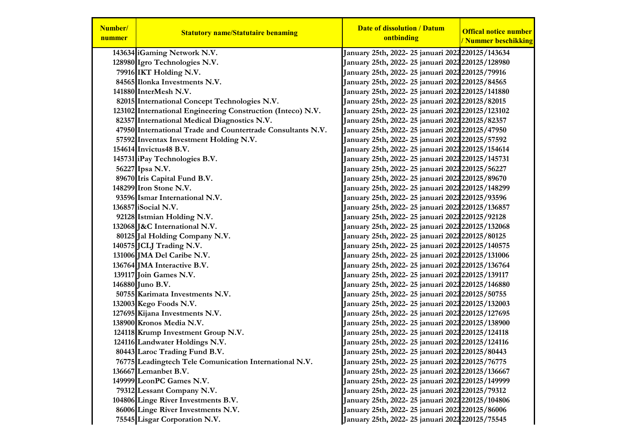| Number/<br>nummer | <b>Statutory name/Statutaire benaming</b>                   | <b>Date of dissolution / Datum</b><br>ontbinding         | <b>Offical notice number</b><br>/ Nummer beschikking |
|-------------------|-------------------------------------------------------------|----------------------------------------------------------|------------------------------------------------------|
|                   | 143634 iGaming Network N.V.                                 | January 25th, 2022-25 januari 2022 220125/143634         |                                                      |
|                   | 128980 Igro Technologies N.V.                               | January 25th, 2022-25 januari 2022 220125/128980         |                                                      |
|                   | 79916 IKT Holding N.V.                                      | January 25th, 2022- 25 januari 2022 220125/79916         |                                                      |
|                   | 84565 Ilonka Investments N.V.                               | January 25th, 2022- 25 januari 2022 220125/84565         |                                                      |
|                   | 141880 InterMesh N.V.                                       | January 25th, 2022-25 januari 2022 220125/141880         |                                                      |
|                   | 82015 International Concept Technologies N.V.               | January 25th, 2022-25 januari 2022 220125/82015          |                                                      |
|                   | 123102 International Engineering Construction (Inteco) N.V. | January 25th, 2022-25 januari 2022 220125/123102         |                                                      |
|                   | 82357 International Medical Diagnostics N.V.                | January 25th, 2022- 25 januari 2022 220125/82357         |                                                      |
|                   | 47950 International Trade and Countertrade Consultants N.V. | January 25th, 2022-25 januari 2022 220125/47950          |                                                      |
|                   | 57592 Inventax Investment Holding N.V.                      | January 25th, 2022- 25 januari 2022 220125/57592         |                                                      |
|                   | 154614 Invictus48 B.V.                                      | January 25th, 2022-25 januari 2022 220125/154614         |                                                      |
|                   | 145731 iPay Technologies B.V.                               | January 25th, 2022-25 januari 2022 220125/145731         |                                                      |
|                   | 56227 Ipsa N.V.                                             | January 25th, 2022- 25 januari 2022 220125/56227         |                                                      |
|                   | 89670 Iris Capital Fund B.V.                                | January 25th, 2022- 25 januari 2022 220125/89670         |                                                      |
|                   | 148299 Iron Stone N.V.                                      | January 25th, 2022- 25 januari 2022 220125/148299        |                                                      |
|                   | 93596 Ismar International N.V.                              | January 25th, 2022- 25 januari 2022 <b>2</b> 20125/93596 |                                                      |
|                   | 136857 iSocial N.V.                                         | January 25th, 2022-25 januari 2022 220125/136857         |                                                      |
|                   | 92128 Istmian Holding N.V.                                  | January 25th, 2022-25 januari 2022 220125/92128          |                                                      |
|                   | 132068 J&C International N.V.                               | January 25th, 2022- 25 januari 2022 220125/132068        |                                                      |
|                   | 80125 Jal Holding Company N.V.                              | January 25th, 2022- 25 januari 2022 220125/80125         |                                                      |
|                   | 140575 JCLJ Trading N.V.                                    | January 25th, 2022-25 januari 2022 220125/140575         |                                                      |
|                   | 131006 JMA Del Caribe N.V.                                  | January 25th, 2022- 25 januari 2022 220125/131006        |                                                      |
|                   | 136764 JMA Interactive B.V.                                 | January 25th, 2022-25 januari 2022 220125/136764         |                                                      |
|                   | 139117 Join Games N.V.                                      | January 25th, 2022-25 januari 2022 220125/139117         |                                                      |
|                   | 146880 Juno B.V.                                            | January 25th, 2022- 25 januari 2022 220125/146880        |                                                      |
|                   | 50755 Karimata Investments N.V.                             | January 25th, 2022- 25 januari 2022 220125/50755         |                                                      |
|                   | 132003 Kego Foods N.V.                                      | January 25th, 2022- 25 januari 2022 220125/132003        |                                                      |
|                   | 127695 Kijana Investments N.V.                              | January 25th, 2022-25 januari 2022 220125/127695         |                                                      |
|                   | 138900 Kronos Media N.V.                                    | January 25th, 2022-25 januari 2022 220125/138900         |                                                      |
|                   | 124118 Krump Investment Group N.V.                          | January 25th, 2022-25 januari 2022 220125/124118         |                                                      |
|                   | 124116 Landwater Holdings N.V.                              | January 25th, 2022- 25 januari 2022 220125/124116        |                                                      |
|                   | 80443 Laroc Trading Fund B.V.                               | January 25th, 2022-25 januari 2022 220125/80443          |                                                      |
|                   | 76775 Leadingtech Tele Comunication International N.V.      | January 25th, 2022-25 januari 2022 220125/76775          |                                                      |
|                   | 136667 Lemanbet B.V.                                        | January 25th, 2022-25 januari 2022 220125/136667         |                                                      |
|                   | 149999 LeonPC Games N.V.                                    | January 25th, 2022- 25 januari 2022 220125/149999        |                                                      |
|                   | 79312 Lessant Company N.V.                                  | January 25th, 2022-25 januari 2022220125/79312           |                                                      |
|                   | 104806 Linge River Investments B.V.                         | January 25th, 2022-25 januari 2022 220125/104806         |                                                      |
|                   | 86006 Linge River Investments N.V.                          | January 25th, 2022-25 januari 2022 220125/86006          |                                                      |
|                   | 75545 Lisgar Corporation N.V.                               | January 25th, 2022-25 januari 2022220125/75545           |                                                      |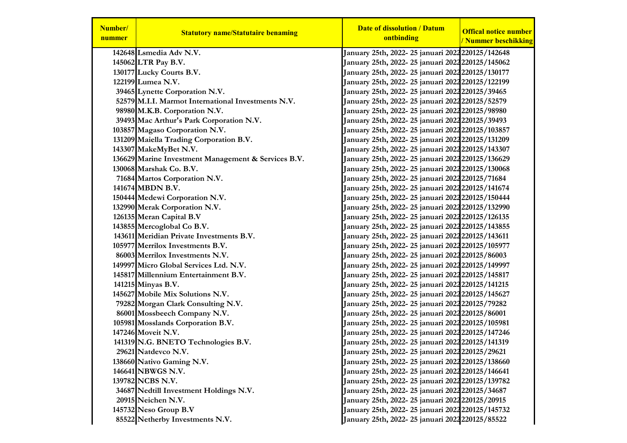| Number/<br>nummer | <b>Statutory name/Statutaire benaming</b>           | <b>Date of dissolution / Datum</b><br>ontbinding         | <b>Offical notice number</b><br>/ Nummer beschikking |
|-------------------|-----------------------------------------------------|----------------------------------------------------------|------------------------------------------------------|
|                   | 142648 Lsmedia Adv N.V.                             | January 25th, 2022- 25 januari 2022 220125/142648        |                                                      |
|                   | 145062 LTR Pay B.V.                                 | January 25th, 2022-25 januari 2022 220125/145062         |                                                      |
|                   | 130177 Lucky Courts B.V.                            | January 25th, 2022-25 januari 2022 220125/130177         |                                                      |
|                   | 122199 Lumea N.V.                                   | January 25th, 2022-25 januari 2022 220125/122199         |                                                      |
|                   | 39465 Lynette Corporation N.V.                      | January 25th, 2022- 25 januari 2022 220125/39465         |                                                      |
|                   | 52579 M.I.I. Marmot International Investments N.V.  | January 25th, 2022- 25 januari 2022 220125/52579         |                                                      |
|                   | 98980 M.K.B. Corporation N.V.                       | January 25th, 2022- 25 januari 2022 220125/98980         |                                                      |
|                   | 39493 Mac Arthur's Park Corporation N.V.            | January 25th, 2022- 25 januari 2022 220125/39493         |                                                      |
|                   | 103857 Magaso Corporation N.V.                      | January 25th, 2022-25 januari 2022 220125/103857         |                                                      |
|                   | 131209 Maiella Trading Corporation B.V.             | January 25th, 2022- 25 januari 2022 220125/131209        |                                                      |
|                   | 143307 MakeMyBet N.V.                               | January 25th, 2022-25 januari 2022 220125/143307         |                                                      |
|                   | 136629 Marine Investment Management & Services B.V. | January 25th, 2022-25 januari 2022 220125/136629         |                                                      |
|                   | 130068 Marshak Co. B.V.                             | January 25th, 2022-25 januari 2022 220125/130068         |                                                      |
|                   | 71684 Martos Corporation N.V.                       | January 25th, 2022- 25 januari 2022 220125/71684         |                                                      |
|                   | 141674 MBDN B.V.                                    | January 25th, 2022-25 januari 2022 220125/141674         |                                                      |
|                   | 150444 Medewi Corporation N.V.                      | January 25th, 2022- 25 januari 2022 220125/150444        |                                                      |
|                   | 132990 Merak Corporation N.V.                       | January 25th, 2022- 25 januari 2022 220125/132990        |                                                      |
|                   | 126135 Meran Capital B.V                            | January 25th, 2022-25 januari 2022 220125/126135         |                                                      |
|                   | 143855 Mercoglobal Co B.V.                          | January 25th, 2022-25 januari 2022 220125/143855         |                                                      |
|                   | 143611 Meridian Private Investments B.V.            | January 25th, 2022-25 januari 2022 220125/143611         |                                                      |
|                   | 105977 Merrilox Investments B.V.                    | January 25th, 2022- 25 januari 2022 220125/105977        |                                                      |
|                   | 86003 Merrilox Investments N.V.                     | January 25th, 2022-25 januari 2022 220125/86003          |                                                      |
|                   | 149997 Micro Global Services Ltd. N.V.              | January 25th, 2022-25 januari 2022 220125/149997         |                                                      |
|                   | 145817 Millennium Entertainment B.V.                | January 25th, 2022-25 januari 2022 220125/145817         |                                                      |
|                   | 141215 Minyas B.V.                                  | January 25th, 2022-25 januari 2022 220125/141215         |                                                      |
|                   | 145627 Mobile Mix Solutions N.V.                    | January 25th, 2022-25 januari 2022 220125/145627         |                                                      |
|                   | 79282 Morgan Clark Consulting N.V.                  | January 25th, 2022- 25 januari 2022 <b>2</b> 20125/79282 |                                                      |
|                   | 86001 Mossbeech Company N.V.                        | January 25th, 2022- 25 januari 2022 220125/86001         |                                                      |
|                   | 105981 Mosslands Corporation B.V.                   | January 25th, 2022-25 januari 2022 220125/105981         |                                                      |
|                   | 147246 Moveit N.V.                                  | January 25th, 2022-25 januari 2022 220125/147246         |                                                      |
|                   | 141319 N.G. BNETO Technologies B.V.                 | January 25th, 2022-25 januari 2022 220125/141319         |                                                      |
|                   | 29621 Natdevco N.V.                                 | January 25th, 2022- 25 januari 2022 220125/29621         |                                                      |
|                   | 138660 Nativo Gaming N.V.                           | January 25th, 2022-25 januari 2022 220125/138660         |                                                      |
|                   | 146641 NBWGS N.V.                                   | January 25th, 2022-25 januari 2022 220125/146641         |                                                      |
|                   | 139782 NCBS N.V.                                    | January 25th, 2022-25 januari 2022 220125/139782         |                                                      |
|                   | 34687 Nedtill Investment Holdings N.V.              | January 25th, 2022-25 januari 2022 220125/34687          |                                                      |
|                   | 20915 Neichen N.V.                                  | January 25th, 2022-25 januari 2022 220125/20915          |                                                      |
|                   | 145732 Neso Group B.V                               | January 25th, 2022- 25 januari 2022 220125/145732        |                                                      |
|                   | 85522 Netherby Investments N.V.                     | January 25th, 2022-25 januari 2022 220125/85522          |                                                      |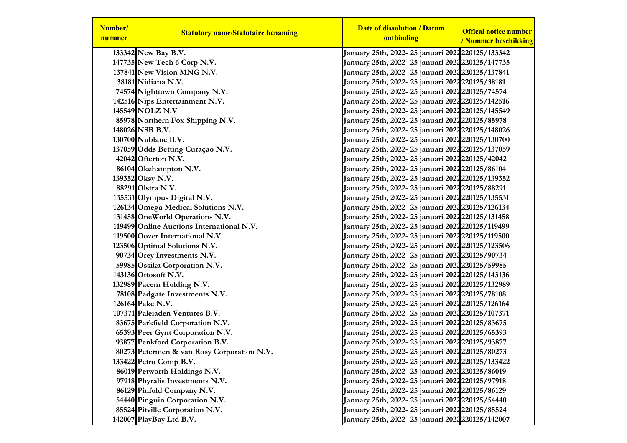| Number/<br>nummer | <b>Statutory name/Statutaire benaming</b>  | <b>Date of dissolution / Datum</b><br>ontbinding               | <b>Offical notice number</b><br>/ Nummer beschikking |
|-------------------|--------------------------------------------|----------------------------------------------------------------|------------------------------------------------------|
|                   | 133342 New Bay B.V.                        | January 25th, 2022- 25 januari 2022 220125/133342              |                                                      |
|                   | 147735 New Tech 6 Corp N.V.                | January 25th, 2022-25 januari 2022 220125/147735               |                                                      |
|                   | 137841 New Vision MNG N.V.                 | January 25th, 2022- 25 januari 2022 220125/137841              |                                                      |
|                   | 38181 Nidiana N.V.                         | January 25th, 2022- 25 januari 2022220125/38181                |                                                      |
|                   | 74574 Nighttown Company N.V.               | January 25th, 2022- 25 januari 2022 <b>2</b> 20125/74574       |                                                      |
|                   | 142516 Nips Entertainment N.V.             | January 25th, 2022-25 januari 2022 220125/142516               |                                                      |
|                   | 145549 NOLZ N.V                            | January 25th, 2022- 25 januari 2022 220125/145549              |                                                      |
|                   | 85978 Northern Fox Shipping N.V.           | January 25th, 2022- 25 januari 2022 220125/85978               |                                                      |
|                   | 148026 NSB B.V.                            | January 25th, 2022- 25 januari 2022 <mark>220125/148026</mark> |                                                      |
|                   | 130700 Nublanc B.V.                        | January 25th, 2022- 25 januari 2022 220125/130700              |                                                      |
|                   | 137059 Odds Betting Curaçao N.V.           | January 25th, 2022- 25 januari 2022 220125/137059              |                                                      |
|                   | 42042 Ofterton N.V.                        | January 25th, 2022- 25 januari 2022 220125/42042               |                                                      |
|                   | 86104 Okehampton N.V.                      | January 25th, 2022-25 januari 2022 220125/86104                |                                                      |
|                   | 139352 Oksy N.V.                           | January 25th, 2022- 25 januari 2022 220125/139352              |                                                      |
|                   | 88291 Olstra N.V.                          | January 25th, 2022- 25 januari 2022 220125/88291               |                                                      |
|                   | 135531 Olympus Digital N.V.                | January 25th, 2022- 25 januari 2022 220125/135531              |                                                      |
|                   | 126134 Omega Medical Solutions N.V.        | January 25th, 2022- 25 januari 2022 220125/126134              |                                                      |
|                   | 131458 OneWorld Operations N.V.            | January 25th, 2022- 25 januari 2022 220125/131458              |                                                      |
|                   | 119499 Online Auctions International N.V.  | January 25th, 2022- 25 januari 2022 220125/119499              |                                                      |
|                   | 119500 Oozer International N.V.            | January 25th, 2022- 25 januari 2022 220125/119500              |                                                      |
|                   | 123506 Optimal Solutions N.V.              | January 25th, 2022- 25 januari 2022 220125/123506              |                                                      |
|                   | 90734 Orey Investments N.V.                | January 25th, 2022- 25 januari 2022 220125/90734               |                                                      |
|                   | 59985 Ossika Corporation N.V.              | January 25th, 2022- 25 januari 2022 220125/59985               |                                                      |
|                   | 143136 Ottosoft N.V.                       | January 25th, 2022- 25 januari 2022 220125/143136              |                                                      |
|                   | 132989 Pacem Holding N.V.                  | January 25th, 2022- 25 januari 2022 220125/132989              |                                                      |
|                   | 78108 Padgate Investments N.V.             | January 25th, 2022- 25 januari 2022 <b>2</b> 20125/78108       |                                                      |
|                   | 126164 Pake N.V.                           | January 25th, 2022- 25 januari 2022 220125/126164              |                                                      |
|                   | 107371 Paleiaden Ventures B.V.             | January 25th, 2022- 25 januari 2022 220125/107371              |                                                      |
|                   | 83675 Parkfield Corporation N.V.           | January 25th, 2022- 25 januari 2022 <mark>220125/83675</mark>  |                                                      |
|                   | 65393 Peer Gynt Corporation N.V.           | January 25th, 2022- 25 januari 2022 220125/65393               |                                                      |
|                   | 93877 Penkford Corporation B.V.            | January 25th, 2022- 25 januari 2022 220125/93877               |                                                      |
|                   | 80273 Petermen & van Rosy Corporation N.V. | January 25th, 2022-25 januari 2022 220125/80273                |                                                      |
|                   | 133422 Petro Comp B.V.                     | January 25th, 2022-25 januari 2022 220125/133422               |                                                      |
|                   | 86019 Petworth Holdings N.V.               | January 25th, 2022- 25 januari 2022 220125/86019               |                                                      |
|                   | 97918 Phyralis Investments N.V.            | January 25th, 2022- 25 januari 2022 220125/97918               |                                                      |
|                   | 86129 Pinfold Company N.V.                 | January 25th, 2022- 25 januari 2022 220125/86129               |                                                      |
|                   | 54440 Pinguin Corporation N.V.             | January 25th, 2022- 25 januari 2022 220125/54440               |                                                      |
|                   | 85524 Pitville Corporation N.V.            | January 25th, 2022- 25 januari 2022 220125/85524               |                                                      |
|                   | 142007 PlayBay Ltd B.V.                    | January 25th, 2022-25 januari 2022 220125/142007               |                                                      |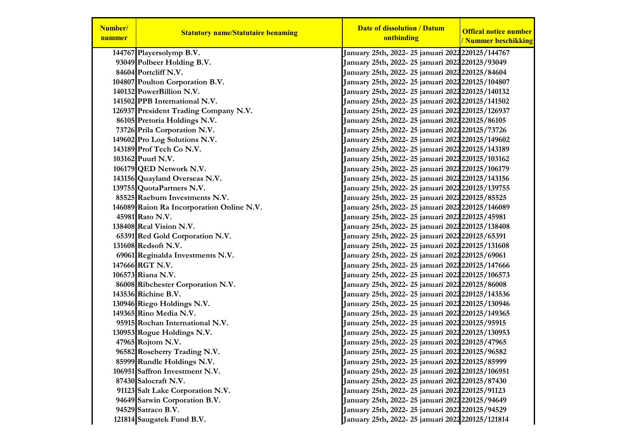| Number/<br>nummer | <b>Statutory name/Statutaire benaming</b> | <b>Date of dissolution / Datum</b><br>ontbinding               | <b>Offical notice number</b><br>/ Nummer beschikking |
|-------------------|-------------------------------------------|----------------------------------------------------------------|------------------------------------------------------|
|                   | 144767 Playersolymp B.V.                  | January 25th, 2022- 25 januari 2022 220125/144767              |                                                      |
|                   | 93049 Polbeer Holding B.V.                | January 25th, 2022- 25 januari 2022 <mark>220125/93049</mark>  |                                                      |
|                   | 84604 Portcliff N.V.                      | January 25th, 2022- 25 januari 2022220125/84604                |                                                      |
|                   | 104807 Poulton Corporation B.V.           | January 25th, 2022- 25 januari 2022 220125/104807              |                                                      |
|                   | 140132 PowerBillion N.V.                  | January 25th, 2022- 25 januari 2022 220125/140132              |                                                      |
|                   | 141502 PPB International N.V.             | January 25th, 2022- 25 januari 2022 220125/141502              |                                                      |
|                   | 126937 President Trading Company N.V.     | January 25th, 2022- 25 januari 2022 220125/126937              |                                                      |
|                   | 86105 Pretoria Holdings N.V.              | January 25th, 2022- 25 januari 2022 220125/86105               |                                                      |
|                   | 73726 Prila Corporation N.V.              | January 25th, 2022- 25 januari 2022 220125/73726               |                                                      |
|                   | 149602 Pro Log Solutions N.V.             | January 25th, 2022- 25 januari 2022 220125/149602              |                                                      |
|                   | 143189 Prof Tech Co N.V.                  | January 25th, 2022- 25 januari 2022 220125/143189              |                                                      |
|                   | 103162 Puurl N.V.                         | January 25th, 2022- 25 januari 2022 220125/103162              |                                                      |
|                   | 106179 QED Network N.V.                   | January 25th, 2022- 25 januari 2022 220125/106179              |                                                      |
|                   | 143156 Quayland Overseas N.V.             | January 25th, 2022- 25 januari 2022 220125/143156              |                                                      |
|                   | 139755 QuotaPartners N.V.                 | January 25th, 2022- 25 januari 2022 220125/139755              |                                                      |
|                   | 85525 Raeburn Investments N.V.            | January 25th, 2022- 25 januari 2022 220125/85525               |                                                      |
|                   | 146089 Raion Ra Incorporation Online N.V. | January 25th, 2022- 25 januari 2022 220125/146089              |                                                      |
|                   | 45981 Rato N.V.                           | January 25th, 2022- 25 januari 2022220125/45981                |                                                      |
|                   | 138408 Real Vision N.V.                   | January 25th, 2022- 25 januari 2022 220125/138408              |                                                      |
|                   | 65391 Red Gold Corporation N.V.           | January 25th, 2022- 25 januari 2022 220125/65391               |                                                      |
|                   | 131608 Redsoft N.V.                       | January 25th, 2022- 25 januari 2022 <mark>220125/131608</mark> |                                                      |
|                   | 69061 Reginalda Investments N.V.          | January 25th, 2022- 25 januari 2022220125/69061                |                                                      |
|                   | 147666 RGT N.V.                           | January 25th, 2022- 25 januari 2022220125/147666               |                                                      |
|                   | 106573 Riana N.V.                         | January 25th, 2022- 25 januari 2022 220125/106573              |                                                      |
|                   | 86008 Ribchester Corporation N.V.         | January 25th, 2022- 25 januari 2022 <mark>220125/86008</mark>  |                                                      |
|                   | 143536 Richine B.V.                       | January 25th, 2022- 25 januari 2022 220125/143536              |                                                      |
|                   | 130946 Riego Holdings N.V.                | January 25th, 2022- 25 januari 2022 220125/130946              |                                                      |
|                   | 149365 Rino Media N.V.                    | January 25th, 2022- 25 januari 2022 220125/149365              |                                                      |
|                   | 95915 Rochan International N.V.           | January 25th, 2022- 25 januari 2022 220125/95915               |                                                      |
|                   | 130953 Rogue Holdings N.V.                | January 25th, 2022- 25 januari 2022 220125/130953              |                                                      |
|                   | 47965 Rojtom N.V.                         | January 25th, 2022- 25 januari 2022220125/47965                |                                                      |
|                   | 96582 Roseberry Trading N.V.              | January 25th, 2022-25 januari 2022220125/96582                 |                                                      |
|                   | 85999 Rundle Holdings N.V.                | January 25th, 2022- 25 januari 2022 <mark>220125/85999</mark>  |                                                      |
|                   | 106951 Saffron Investment N.V.            | January 25th, 2022- 25 januari 2022 220125/106951              |                                                      |
|                   | 87430 Salocraft N.V.                      | January 25th, 2022- 25 januari 2022 220125/87430               |                                                      |
|                   | 91123 Salt Lake Corporation N.V.          | January 25th, 2022- 25 januari 2022 220125/91123               |                                                      |
|                   | 94649 Sarwin Corporation B.V.             | January 25th, 2022- 25 januari 2022 220125/94649               |                                                      |
|                   | 94529 Satraco B.V.                        | January 25th, 2022- 25 januari 2022 220125/94529               |                                                      |
|                   | 121814 Saugatek Fund B.V.                 | January 25th, 2022-25 januari 2022 220125/121814               |                                                      |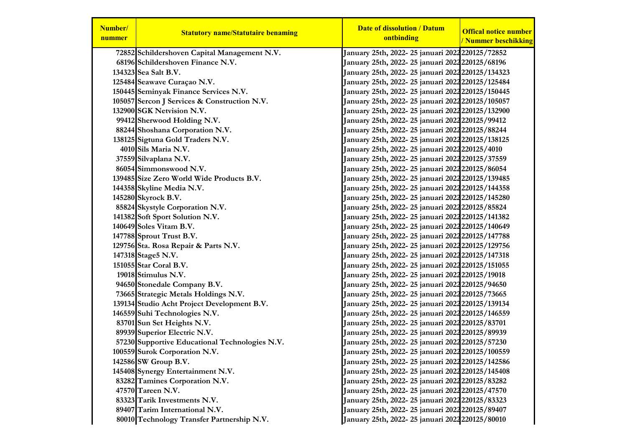| Number/<br>nummer | <b>Statutory name/Statutaire benaming</b>      | <b>Date of dissolution / Datum</b><br>ontbinding              | <b>Offical notice number</b><br>/ Nummer beschikking |
|-------------------|------------------------------------------------|---------------------------------------------------------------|------------------------------------------------------|
|                   | 72852 Schildershoven Capital Management N.V.   | January 25th, 2022- 25 januari 2022 220125/72852              |                                                      |
|                   | 68196 Schildershoven Finance N.V.              | January 25th, 2022- 25 januari 2022220125/68196               |                                                      |
|                   | 134323 Sea Salt B.V.                           | January 25th, 2022- 25 januari 2022 220125/134323             |                                                      |
|                   | 125484 Seawave Curaçao N.V.                    | January 25th, 2022- 25 januari 2022 220125/125484             |                                                      |
|                   | 150445 Seminyak Finance Services N.V.          | January 25th, 2022- 25 januari 2022 220125/150445             |                                                      |
|                   | 105057 Sercon J Services & Construction N.V.   | January 25th, 2022- 25 januari 2022 220125/105057             |                                                      |
|                   | 132900 SGK Netvision N.V.                      | January 25th, 2022-25 januari 2022 220125/132900              |                                                      |
|                   | 99412 Sherwood Holding N.V.                    | January 25th, 2022- 25 januari 2022 220125/99412              |                                                      |
|                   | 88244 Shoshana Corporation N.V.                | January 25th, 2022- 25 januari 2022220125/88244               |                                                      |
|                   | 138125 Sigtuna Gold Traders N.V.               | January 25th, 2022- 25 januari 2022 220125/138125             |                                                      |
|                   | 4010 Sils Maria N.V.                           | January 25th, 2022- 25 januari 2022 220125/4010               |                                                      |
|                   | 37559 Silvaplana N.V.                          | January 25th, 2022- 25 januari 2022 220125/37559              |                                                      |
|                   | 86054 Simmonswood N.V.                         | January 25th, 2022- 25 januari 2022 <b>2</b> 20125/86054      |                                                      |
|                   | 139485 Size Zero World Wide Products B.V.      | January 25th, 2022-25 januari 2022 220125/139485              |                                                      |
|                   | 144358 Skyline Media N.V.                      | January 25th, 2022- 25 januari 2022 220125/144358             |                                                      |
|                   | 145280 Skyrock B.V.                            | January 25th, 2022- 25 januari 2022 220125/145280             |                                                      |
|                   | 85824 Skystyle Corporation N.V.                | January 25th, 2022- 25 januari 2022 <mark>220125/85824</mark> |                                                      |
|                   | 141382 Soft Sport Solution N.V.                | January 25th, 2022- 25 januari 2022 220125/141382             |                                                      |
|                   | 140649 Soles Vitam B.V.                        | January 25th, 2022- 25 januari 2022 220125/140649             |                                                      |
|                   | 147788 Sprout Trust B.V.                       | January 25th, 2022- 25 januari 2022 220125/147788             |                                                      |
|                   | 129756 Sta. Rosa Repair & Parts N.V.           | January 25th, 2022- 25 januari 2022 220125/129756             |                                                      |
|                   | 147318 Stage5 N.V.                             | January 25th, 2022- 25 januari 2022 220125/147318             |                                                      |
|                   | 151055 Star Coral B.V.                         | January 25th, 2022- 25 januari 2022 220125/151055             |                                                      |
|                   | 19018 Stimulus N.V.                            | January 25th, 2022- 25 januari 2022220125/19018               |                                                      |
|                   | 94650 Stonedale Company B.V.                   | January 25th, 2022- 25 januari 2022 <b>2</b> 20125/94650      |                                                      |
|                   | 73665 Strategic Metals Holdings N.V.           | January 25th, 2022- 25 januari 2022 <mark>220125/73665</mark> |                                                      |
|                   | 139134 Studio Acht Project Development B.V.    | January 25th, 2022- 25 januari 2022 220125/139134             |                                                      |
|                   | 146559 Suhi Technologies N.V.                  | January 25th, 2022- 25 januari 2022 220125/146559             |                                                      |
|                   | 83701 Sun Set Heights N.V.                     | January 25th, 2022- 25 januari 2022220125/83701               |                                                      |
|                   | 89939 Superior Electric N.V.                   | January 25th, 2022- 25 januari 2022220125/89939               |                                                      |
|                   | 57230 Supportive Educational Technologies N.V. | January 25th, 2022- 25 januari 2022 220125/57230              |                                                      |
|                   | 100559 Surok Corporation N.V.                  | January 25th, 2022- 25 januari 2022 220125/100559             |                                                      |
|                   | 142586 SW Group B.V.                           | January 25th, 2022- 25 januari 2022 220125/142586             |                                                      |
|                   | 145408 Synergy Entertainment N.V.              | January 25th, 2022-25 januari 2022 220125/145408              |                                                      |
|                   | 83282 Tamines Corporation N.V.                 | January 25th, 2022- 25 januari 2022 220125/83282              |                                                      |
|                   | 47570 Tareen N.V.                              | January 25th, 2022- 25 januari 2022 <mark>220125/47570</mark> |                                                      |
|                   | 83323 Tarik Investments N.V.                   | January 25th, 2022- 25 januari 2022 220125/83323              |                                                      |
|                   | 89407 Tarim International N.V.                 | January 25th, 2022-25 januari 2022220125/89407                |                                                      |
|                   | 80010 Technology Transfer Partnership N.V.     | January 25th, 2022-25 januari 2022 220125/80010               |                                                      |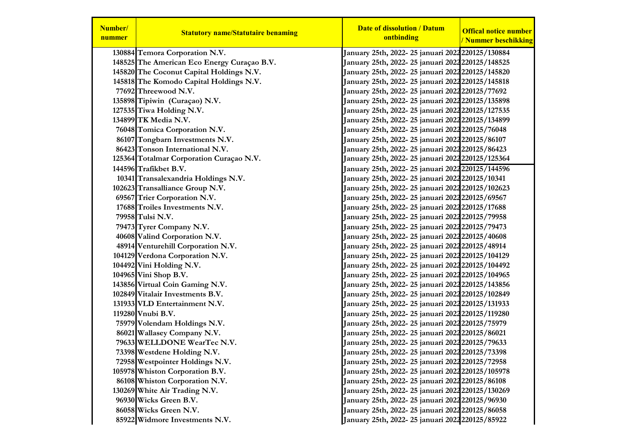| Number/<br>nummer | <b>Statutory name/Statutaire benaming</b>   | <b>Date of dissolution / Datum</b><br>ontbinding         | <b>Offical notice number</b><br>/ Nummer beschikking |
|-------------------|---------------------------------------------|----------------------------------------------------------|------------------------------------------------------|
|                   | 130884 Temora Corporation N.V.              | January 25th, 2022-25 januari 2022 220125/130884         |                                                      |
|                   | 148525 The American Eco Energy Curaçao B.V. | January 25th, 2022-25 januari 2022 220125/148525         |                                                      |
|                   | 145820 The Coconut Capital Holdings N.V.    | January 25th, 2022- 25 januari 2022 220125/145820        |                                                      |
|                   | 145818 The Komodo Capital Holdings N.V.     | January 25th, 2022-25 januari 2022 220125/145818         |                                                      |
|                   | 77692 Threewood N.V.                        | January 25th, 2022- 25 januari 2022 <b>2</b> 20125/77692 |                                                      |
|                   | 135898 Tipiwin (Curaçao) N.V.               | January 25th, 2022-25 januari 2022 220125/135898         |                                                      |
|                   | 127535 Tiwa Holding N.V.                    | January 25th, 2022- 25 januari 2022 220125/127535        |                                                      |
|                   | 134899 TK Media N.V.                        | January 25th, 2022-25 januari 2022 220125/134899         |                                                      |
|                   | 76048 Tomica Corporation N.V.               | January 25th, 2022-25 januari 2022 220125/76048          |                                                      |
|                   | 86107 Tongbarn Investments N.V.             | January 25th, 2022- 25 januari 2022 220125/86107         |                                                      |
|                   | 86423 Tonson International N.V.             | January 25th, 2022- 25 januari 2022 220125/86423         |                                                      |
|                   | 125364 Totalmar Corporation Curaçao N.V.    | January 25th, 2022- 25 januari 2022 220125/125364        |                                                      |
|                   | 144596 Trafikbet B.V.                       | January 25th, 2022-25 januari 2022 220125/144596         |                                                      |
|                   | 10341 Transalexandria Holdings N.V.         | January 25th, 2022- 25 januari 2022 220125/10341         |                                                      |
|                   | 102623 Transalliance Group N.V.             | January 25th, 2022- 25 januari 2022 220125/102623        |                                                      |
|                   | 69567 Trier Corporation N.V.                | January 25th, 2022- 25 januari 2022 220125/69567         |                                                      |
|                   | 17688 Troiles Investments N.V.              | January 25th, 2022- 25 januari 2022 220125/17688         |                                                      |
|                   | 79958 Tulsi N.V.                            | January 25th, 2022-25 januari 2022 220125/79958          |                                                      |
|                   | 79473 Tyrer Company N.V.                    | January 25th, 2022- 25 januari 2022 220125/79473         |                                                      |
|                   | 40608 Valind Corporation N.V.               | January 25th, 2022-25 januari 2022220125/40608           |                                                      |
|                   | 48914 Venturehill Corporation N.V.          | January 25th, 2022- 25 januari 2022 220125/48914         |                                                      |
|                   | 104129 Verdona Corporation N.V.             | January 25th, 2022-25 januari 2022 220125/104129         |                                                      |
|                   | 104492 Vini Holding N.V.                    | January 25th, 2022- 25 januari 2022 220125/104492        |                                                      |
|                   | 104965 Vini Shop B.V.                       | January 25th, 2022-25 januari 2022 220125/104965         |                                                      |
|                   | 143856 Virtual Coin Gaming N.V.             | January 25th, 2022-25 januari 2022 220125/143856         |                                                      |
|                   | 102849 Vitalair Investments B.V.            | January 25th, 2022-25 januari 2022 220125/102849         |                                                      |
|                   | 131933 VLD Entertainment N.V.               | January 25th, 2022-25 januari 2022 220125/131933         |                                                      |
|                   | 119280 Vnubi B.V.                           | January 25th, 2022- 25 januari 2022 220125/119280        |                                                      |
|                   | 75979 Volendam Holdings N.V.                | January 25th, 2022- 25 januari 2022 220125/75979         |                                                      |
|                   | 86021 Wallasey Company N.V.                 | January 25th, 2022- 25 januari 2022 220125/86021         |                                                      |
|                   | 79633 WELLDONE WearTec N.V.                 | January 25th, 2022-25 januari 2022 220125/79633          |                                                      |
|                   | 73398 Westdene Holding N.V.                 | January 25th, 2022-25 januari 2022220125/73398           |                                                      |
|                   | 72958 Westpointer Holdings N.V.             | January 25th, 2022- 25 januari 2022 220125/72958         |                                                      |
|                   | 105978 Whiston Corporation B.V.             | January 25th, 2022-25 januari 2022 220125/105978         |                                                      |
|                   | 86108 Whiston Corporation N.V.              | January 25th, 2022-25 januari 2022 220125/86108          |                                                      |
|                   | 130269 White Air Trading N.V.               | January 25th, 2022-25 januari 2022 220125/130269         |                                                      |
|                   | 96930 Wicks Green B.V.                      | January 25th, 2022-25 januari 2022 220125/96930          |                                                      |
|                   | 86058 Wicks Green N.V.                      | January 25th, 2022-25 januari 2022 220125/86058          |                                                      |
|                   | 85922 Widmore Investments N.V.              | January 25th, 2022-25 januari 2022 220125/85922          |                                                      |